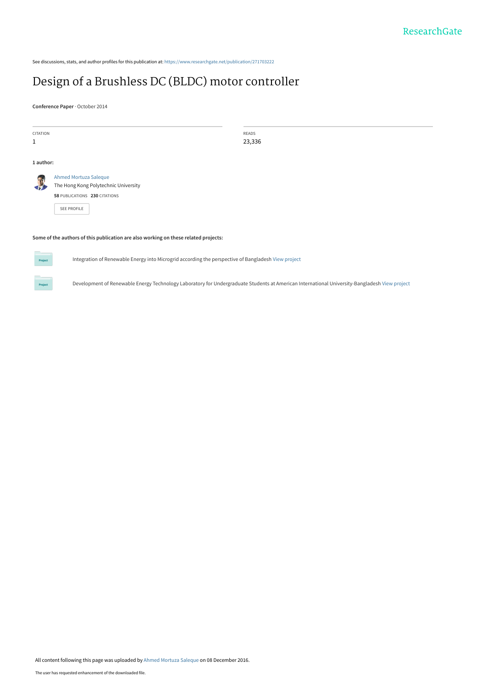See discussions, stats, and author profiles for this publication at: [https://www.researchgate.net/publication/271703222](https://www.researchgate.net/publication/271703222_Design_of_a_Brushless_DC_BLDC_motor_controller?enrichId=rgreq-764b709084d4176ebaa9a5f6fa2ef28e-XXX&enrichSource=Y292ZXJQYWdlOzI3MTcwMzIyMjtBUzo0MzcwNzMxNzkwOTA5NDRAMTQ4MTIxNzc3NDQ1OQ%3D%3D&el=1_x_2&_esc=publicationCoverPdf)

# [Design of a Brushless DC \(BLDC\) motor controller](https://www.researchgate.net/publication/271703222_Design_of_a_Brushless_DC_BLDC_motor_controller?enrichId=rgreq-764b709084d4176ebaa9a5f6fa2ef28e-XXX&enrichSource=Y292ZXJQYWdlOzI3MTcwMzIyMjtBUzo0MzcwNzMxNzkwOTA5NDRAMTQ4MTIxNzc3NDQ1OQ%3D%3D&el=1_x_3&_esc=publicationCoverPdf)

**Conference Paper** · October 2014

| CITATION<br>1 |                                                                                                                      | READS<br>23,336 |  |
|---------------|----------------------------------------------------------------------------------------------------------------------|-----------------|--|
| 1 author:     |                                                                                                                      |                 |  |
| đ.            | Ahmed Mortuza Saleque<br>The Hong Kong Polytechnic University<br>58 PUBLICATIONS 230 CITATIONS<br><b>SEE PROFILE</b> |                 |  |
|               | Some of the authors of this publication are also working on these related projects:                                  |                 |  |



Integration of Renewable Energy into Microgrid according the perspective of Bangladesh [View project](https://www.researchgate.net/project/Integration-of-Renewable-Energy-into-Microgrid-according-the-perspective-of-Bangladesh?enrichId=rgreq-764b709084d4176ebaa9a5f6fa2ef28e-XXX&enrichSource=Y292ZXJQYWdlOzI3MTcwMzIyMjtBUzo0MzcwNzMxNzkwOTA5NDRAMTQ4MTIxNzc3NDQ1OQ%3D%3D&el=1_x_9&_esc=publicationCoverPdf)

Development of Renewable Energy Technology Laboratory for Undergraduate Students at American International University-Bangladesh [View project](https://www.researchgate.net/project/Development-of-Renewable-Energy-Technology-Laboratory-for-Undergraduate-Students-at-American-International-University-Bangladesh?enrichId=rgreq-764b709084d4176ebaa9a5f6fa2ef28e-XXX&enrichSource=Y292ZXJQYWdlOzI3MTcwMzIyMjtBUzo0MzcwNzMxNzkwOTA5NDRAMTQ4MTIxNzc3NDQ1OQ%3D%3D&el=1_x_9&_esc=publicationCoverPdf)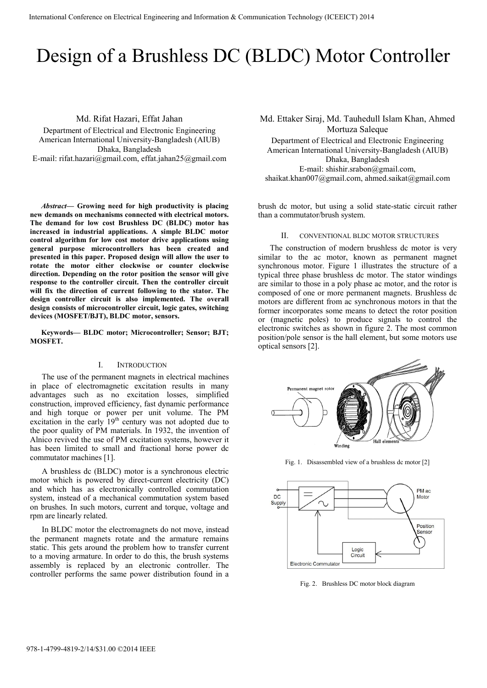# Design of a Brushless DC (BLDC) Motor Controller

Md. Rifat Hazari, Effat Jahan

Department of Electrical and Electronic Engineering American International University-Bangladesh (AIUB) Dhaka, Bangladesh E-mail: rifat.hazari@gmail.com, effat.jahan25@gmail.com

*Abstract***— Growing need for high productivity is placing new demands on mechanisms connected with electrical motors. The demand for low cost Brushless DC (BLDC) motor has increased in industrial applications. A simple BLDC motor control algorithm for low cost motor drive applications using general purpose microcontrollers has been created and presented in this paper. Proposed design will allow the user to rotate the motor either clockwise or counter clockwise direction. Depending on the rotor position the sensor will give response to the controller circuit. Then the controller circuit will fix the direction of current following to the stator. The design controller circuit is also implemented. The overall design consists of microcontroller circuit, logic gates, switching devices (MOSFET/BJT), BLDC motor, sensors.** 

**Keywords— BLDC motor; Microcontroller; Sensor; BJT; MOSFET.** 

# I. INTRODUCTION

The use of the permanent magnets in electrical machines in place of electromagnetic excitation results in many advantages such as no excitation losses, simplified construction, improved efficiency, fast dynamic performance and high torque or power per unit volume. The PM excitation in the early 19<sup>th</sup> century was not adopted due to the poor quality of PM materials. In 1932, the invention of Alnico revived the use of PM excitation systems, however it has been limited to small and fractional horse power dc commutator machines [1].

A brushless dc (BLDC) motor is a synchronous electric motor which is powered by direct-current electricity (DC) and which has as electronically controlled commutation system, instead of a mechanical commutation system based on brushes. In such motors, current and torque, voltage and rpm are linearly related.

In BLDC motor the electromagnets do not move, instead the permanent magnets rotate and the armature remains static. This gets around the problem how to transfer current to a moving armature. In order to do this, the brush systems assembly is replaced by an electronic controller. The controller performs the same power distribution found in a

Md. Ettaker Siraj, Md. Tauhedull Islam Khan, Ahmed Mortuza Saleque Department of Electrical and Electronic Engineering American International University-Bangladesh (AIUB) Dhaka, Bangladesh

E-mail: shishir.srabon@gmail.com, shaikat.khan007@gmail.com, ahmed.saikat@gmail.com

brush dc motor, but using a solid state-static circuit rather than a commutator/brush system.

# II. CONVENTIONAL BLDC MOTOR STRUCTURES

The construction of modern brushless dc motor is very similar to the ac motor, known as permanent magnet synchronous motor. Figure 1 illustrates the structure of a typical three phase brushless dc motor. The stator windings are similar to those in a poly phase ac motor, and the rotor is composed of one or more permanent magnets. Brushless dc motors are different from ac synchronous motors in that the former incorporates some means to detect the rotor position or (magnetic poles) to produce signals to control the electronic switches as shown in figure 2. The most common position/pole sensor is the hall element, but some motors use optical sensors [2].



Fig. 1. Disassembled view of a brushless dc motor [2]



Fig. 2. Brushless DC motor block diagram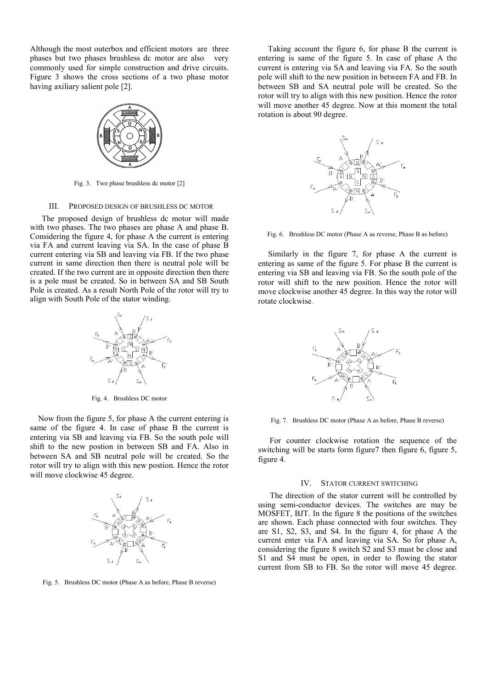Although the most outerbox and efficient motors are three phases but two phases brushless dc motor are also very commonly used for simple construction and drive circuits. Figure 3 shows the cross sections of a two phase motor having axiliary salient pole [2].



Fig. 3. Two phase brushless dc motor [2]

#### III. PROPOSED DESIGN OF BRUSHLESS DC MOTOR

The proposed design of brushless dc motor will made with two phases. The two phases are phase A and phase B. Considering the figure 4, for phase A the current is entering via FA and current leaving via SA. In the case of phase B current entering via SB and leaving via FB. If the two phase current in same direction then there is neutral pole will be created. If the two current are in opposite direction then there is a pole must be created. So in between SA and SB South Pole is created. As a result North Pole of the rotor will try to align with South Pole of the stator winding.



Fig. 4. Brushless DC motor

 Now from the figure 5, for phase A the current entering is same of the figure 4. In case of phase B the current is entering via SB and leaving via FB. So the south pole will shift to the new postion in between SB and FA. Also in between SA and SB neutral pole will be created. So the rotor will try to align with this new postion. Hence the rotor will move clockwise 45 degree.



Fig. 5. Brushless DC motor (Phase A as before, Phase B reverse)

 Taking account the figure 6, for phase B the current is entering is same of the figure 5. In case of phase A the current is entering via SA and leaving via FA. So the south pole will shift to the new position in between FA and FB. In between SB and SA neutral pole will be created. So the rotor will try to align with this new position. Hence the rotor will move another 45 degree. Now at this moment the total rotation is about 90 degree.



Fig. 6. Brushless DC motor (Phase A as reverse, Phase B as before)

 Similarly in the figure 7, for phase A the current is entering as same of the figure 5. For phase B the current is entering via SB and leaving via FB. So the south pole of the rotor will shift to the new position. Hence the rotor will move clockwise another 45 degree. In this way the rotor will rotate clockwise.



Fig. 7. Brushless DC motor (Phase A as before, Phase B reverse)

 For counter clockwise rotation the sequence of the switching will be starts form figure7 then figure 6, figure 5, figure 4.

#### IV. STATOR CURRENT SWITCHING

The direction of the stator current will be controlled by using semi-conductor devices. The switches are may be MOSFET, BJT. In the figure 8 the positions of the switches are shown. Each phase connected with four switches. They are S1, S2, S3, and S4. In the figure 4, for phase A the current enter via FA and leaving via SA. So for phase A, considering the figure 8 switch S2 and S3 must be close and S1 and S4 must be open, in order to flowing the stator current from SB to FB. So the rotor will move 45 degree.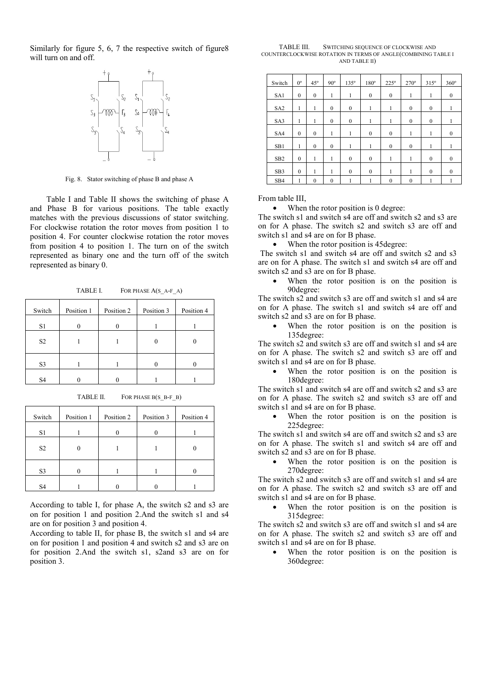Similarly for figure 5, 6, 7 the respective switch of figure8 will turn on and off.



Fig. 8. Stator switching of phase B and phase A

 Table I and Table II shows the switching of phase A and Phase B for various positions. The table exactly matches with the previous discussions of stator switching. For clockwise rotation the rotor moves from position 1 to position 4. For counter clockwise rotation the rotor moves from position 4 to position 1. The turn on of the switch represented as binary one and the turn off of the switch represented as binary 0.

TABLE I. FOR PHASE A(S\_A-F\_A)

| Switch         | Position 1 | Position 2 | Position 3 | Position 4 |
|----------------|------------|------------|------------|------------|
| S1             |            |            |            |            |
| S <sub>2</sub> |            |            |            |            |
| S <sub>3</sub> |            |            |            |            |
| S <sub>4</sub> |            |            |            |            |

TABLE II. FOR PHASE B(S\_B-F\_B)

| Switch         | Position 1 | Position 2 | Position 3 | Position 4 |
|----------------|------------|------------|------------|------------|
| S1             |            |            |            |            |
| S <sub>2</sub> |            |            |            |            |
| S <sub>3</sub> |            |            |            |            |
| S <sub>4</sub> |            |            |            |            |

According to table I, for phase A, the switch s2 and s3 are on for position 1 and position 2.And the switch s1 and s4 are on for position 3 and position 4.

According to table II, for phase B, the switch s1 and s4 are on for position 1 and position 4 and switch s2 and s3 are on for position 2.And the switch s1, s2and s3 are on for position 3.

| TABLE III. | SWITCHING SEQUENCE OF CLOCKWISE AND                           |
|------------|---------------------------------------------------------------|
|            | COUNTERCLOCKWISE ROTATION IN TERMS OF ANGLE(COMBINING TABLE I |
|            | AND TABLE II)                                                 |

| Switch          | $0^{\circ}$  | $45^\circ$   | $90^\circ$   | $135^\circ$      | 180°             | $225^\circ$      | $270^\circ$      | $315^\circ$  | $360^\circ$  |
|-----------------|--------------|--------------|--------------|------------------|------------------|------------------|------------------|--------------|--------------|
| SA1             | $\mathbf{0}$ | $\mathbf{0}$ | 1            | 1                | $\mathbf{0}$     | $\mathbf{0}$     | 1                | 1            | $\mathbf{0}$ |
| SA <sub>2</sub> | 1            | 1            | $\mathbf{0}$ | $\mathbf{0}$     | 1                | 1                | $\mathbf{0}$     | $\mathbf{0}$ | 1            |
| SA3             | 1            | 1            | $\mathbf{0}$ | $\mathbf{0}$     | 1                | 1                | $\mathbf{0}$     | $\mathbf{0}$ | 1            |
| SA4             | $\mathbf{0}$ | $\mathbf{0}$ | 1            | 1                | $\mathbf{0}$     | $\mathbf{0}$     | 1                |              | $\mathbf{0}$ |
| SB1             | 1            | $\mathbf{0}$ | $\mathbf{0}$ | 1                | 1                | $\mathbf{0}$     | $\mathbf{0}$     | 1            |              |
| SB <sub>2</sub> | $\mathbf{0}$ | 1            | 1            | $\boldsymbol{0}$ | $\boldsymbol{0}$ | 1                | 1                | $\mathbf{0}$ | $\mathbf{0}$ |
| SB <sub>3</sub> | $\mathbf{0}$ | 1            | 1            | $\mathbf{0}$     | $\mathbf{0}$     | 1                | 1                | $\mathbf{0}$ | $\mathbf{0}$ |
| SB <sub>4</sub> | 1            | $\mathbf{0}$ | $\mathbf{0}$ | 1                | ı                | $\boldsymbol{0}$ | $\boldsymbol{0}$ | ı            |              |

From table III,

• When the rotor position is 0 degree:

The switch s1 and switch s4 are off and switch s2 and s3 are on for A phase. The switch s2 and switch s3 are off and switch s1 and s4 are on for B phase.

• When the rotor position is 45 degree:

The switch s1 and switch s4 are off and switch s2 and s3 are on for A phase. The switch s1 and switch s4 are off and switch s2 and s3 are on for B phase.

• When the rotor position is on the position is 90degree:

The switch s2 and switch s3 are off and switch s1 and s4 are on for A phase. The switch s1 and switch s4 are off and switch s2 and s3 are on for B phase.

When the rotor position is on the position is 135degree:

The switch s2 and switch s3 are off and switch s1 and s4 are on for A phase. The switch s2 and switch s3 are off and switch s1 and s4 are on for B phase.

When the rotor position is on the position is 180degree:

The switch s1 and switch s4 are off and switch s2 and s3 are on for A phase. The switch s2 and switch s3 are off and switch s1 and s4 are on for B phase.

When the rotor position is on the position is 225degree:

The switch s1 and switch s4 are off and switch s2 and s3 are on for A phase. The switch s1 and switch s4 are off and switch s2 and s3 are on for B phase.

When the rotor position is on the position is 270degree:

The switch s2 and switch s3 are off and switch s1 and s4 are on for A phase. The switch s2 and switch s3 are off and switch s1 and s4 are on for B phase.

When the rotor position is on the position is 315degree:

The switch s2 and switch s3 are off and switch s1 and s4 are on for A phase. The switch s2 and switch s3 are off and switch s1 and s4 are on for B phase.

When the rotor position is on the position is 360degree: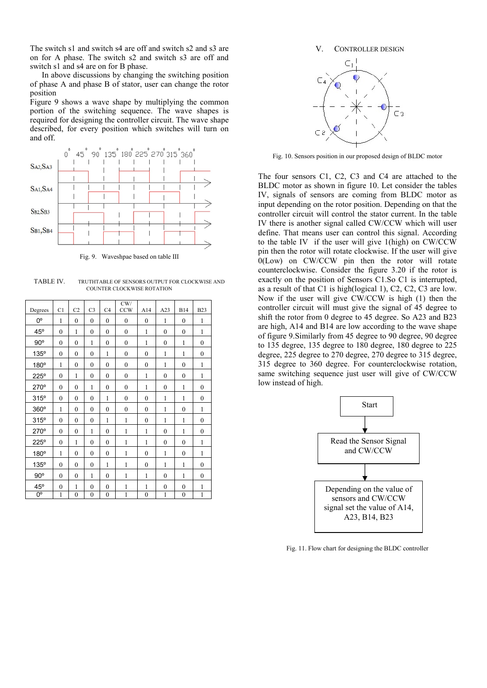The switch s1 and switch s4 are off and switch s2 and s3 are on for A phase. The switch s2 and switch s3 are off and switch s1 and s4 are on for B phase.

In above discussions by changing the switching position of phase A and phase B of stator, user can change the rotor position

Figure 9 shows a wave shape by multiplying the common portion of the switching sequence. The wave shapes is required for designing the controller circuit. The wave shape described, for every position which switches will turn on and off.



Fig. 9. Waveshpae based on table III

TABLE IV. TRUTHTABLE OF SENSORS OUTPUT FOR CLOCKWISE AND COUNTER CLOCKWISE ROTATION

| Degrees      | C <sub>1</sub>   | C <sub>2</sub>   | C <sub>3</sub>   | C <sub>4</sub>   | CW/<br><b>CCW</b> | A14              | A23              | <b>B14</b>       | <b>B23</b>       |
|--------------|------------------|------------------|------------------|------------------|-------------------|------------------|------------------|------------------|------------------|
| $0^{\rm o}$  | 1                | $\mathbf{0}$     | $\boldsymbol{0}$ | $\mathbf{0}$     | $\boldsymbol{0}$  | $\boldsymbol{0}$ | $\mathbf{1}$     | $\mathbf{0}$     | 1                |
| $45^{\circ}$ | $\mathbf{0}$     | 1                | $\mathbf{0}$     | $\theta$         | $\mathbf{0}$      | 1                | $\mathbf{0}$     | $\mathbf{0}$     | 1                |
| $90^\circ$   | $\mathbf{0}$     | $\mathbf{0}$     | $\mathbf{1}$     | $\mathbf{0}$     | $\boldsymbol{0}$  | 1                | $\mathbf{0}$     | $\mathbf{1}$     | $\boldsymbol{0}$ |
| 135°         | $\mathbf{0}$     | $\mathbf{0}$     | $\mathbf{0}$     | $\mathbf{1}$     | $\mathbf{0}$      | $\overline{0}$   | $\mathbf{1}$     | $\mathbf{1}$     | $\boldsymbol{0}$ |
| 180°         | 1                | $\mathbf{0}$     | $\mathbf{0}$     | $\mathbf{0}$     | $\mathbf{0}$      | $\mathbf{0}$     | $\mathbf{1}$     | $\mathbf{0}$     | 1                |
| $225^\circ$  | $\mathbf{0}$     | $\mathbf{1}$     | $\mathbf{0}$     | $\mathbf{0}$     | $\mathbf{0}$      | 1                | $\mathbf{0}$     | $\mathbf{0}$     | 1                |
| 270°         | $\mathbf{0}$     | $\mathbf{0}$     | $\mathbf{1}$     | $\mathbf{0}$     | $\mathbf{0}$      | 1                | $\boldsymbol{0}$ | $\mathbf{1}$     | $\mathbf{0}$     |
| 315°         | $\mathbf{0}$     | $\mathbf{0}$     | $\mathbf{0}$     | 1                | $\mathbf{0}$      | $\mathbf{0}$     | $\mathbf{1}$     | $\mathbf{1}$     | $\mathbf{0}$     |
| 360°         | 1                | $\mathbf{0}$     | $\mathbf{0}$     | $\mathbf{0}$     | $\boldsymbol{0}$  | $\mathbf{0}$     | 1                | $\mathbf{0}$     | 1                |
| 315°         | $\mathbf{0}$     | $\mathbf{0}$     | $\boldsymbol{0}$ | $\mathbf{1}$     | $\mathbf{1}$      | $\boldsymbol{0}$ | $\mathbf{1}$     | $\mathbf{1}$     | $\boldsymbol{0}$ |
| 270°         | $\boldsymbol{0}$ | $\boldsymbol{0}$ | $\mathbf{1}$     | $\boldsymbol{0}$ | $\mathbf{1}$      | 1                | $\boldsymbol{0}$ | $\mathbf{1}$     | $\boldsymbol{0}$ |
| $225^\circ$  | $\mathbf{0}$     | $\mathbf{1}$     | $\mathbf{0}$     | $\boldsymbol{0}$ | $\mathbf{1}$      | 1                | $\boldsymbol{0}$ | $\boldsymbol{0}$ | 1                |
| $180^\circ$  | 1                | $\mathbf{0}$     | $\mathbf{0}$     | $\mathbf{0}$     | 1                 | $\mathbf{0}$     | 1                | $\mathbf{0}$     | 1                |
| 135°         | $\mathbf{0}$     | $\mathbf{0}$     | $\mathbf{0}$     | 1                | $\mathbf{1}$      | $\mathbf{0}$     | $\mathbf{1}$     | $\mathbf{1}$     | $\boldsymbol{0}$ |
| $90^\circ$   | $\theta$         | $\mathbf{0}$     | $\mathbf{1}$     | $\theta$         | $\mathbf{1}$      | 1                | $\boldsymbol{0}$ | 1                | $\mathbf{0}$     |
| $45^{\circ}$ | $\boldsymbol{0}$ | 1                | $\mathbf{0}$     | $\mathbf{0}$     | $\mathbf{1}$      | 1                | $\boldsymbol{0}$ | $\boldsymbol{0}$ | $\mathbf{1}$     |
| 0°           | 1                | $\overline{0}$   | $\overline{0}$   | $\mathbf{0}$     | $\mathbf{1}$      | $\overline{0}$   | $\mathbf{1}$     | $\boldsymbol{0}$ | $\mathbf{1}$     |



Fig. 10. Sensors position in our proposed design of BLDC motor

The four sensors C1, C2, C3 and C4 are attached to the BLDC motor as shown in figure 10. Let consider the tables IV, signals of sensors are coming from BLDC motor as input depending on the rotor position. Depending on that the controller circuit will control the stator current. In the table IV there is another signal called CW/CCW which will user define. That means user can control this signal. According to the table IV if the user will give 1(high) on CW/CCW pin then the rotor will rotate clockwise. If the user will give 0(Low) on CW/CCW pin then the rotor will rotate counterclockwise. Consider the figure 3.20 if the rotor is exactly on the position of Sensors C1.So C1 is interrupted, as a result of that C1 is high(logical 1), C2, C2, C3 are low. Now if the user will give CW/CCW is high (1) then the controller circuit will must give the signal of 45 degree to shift the rotor from 0 degree to 45 degree. So A23 and B23 are high, A14 and B14 are low according to the wave shape of figure 9.Similarly from 45 degree to 90 degree, 90 degree to 135 degree, 135 degree to 180 degree, 180 degree to 225 degree, 225 degree to 270 degree, 270 degree to 315 degree, 315 degree to 360 degree. For counterclockwise rotation, same switching sequence just user will give of CW/CCW low instead of high.



Fig. 11. Flow chart for designing the BLDC controller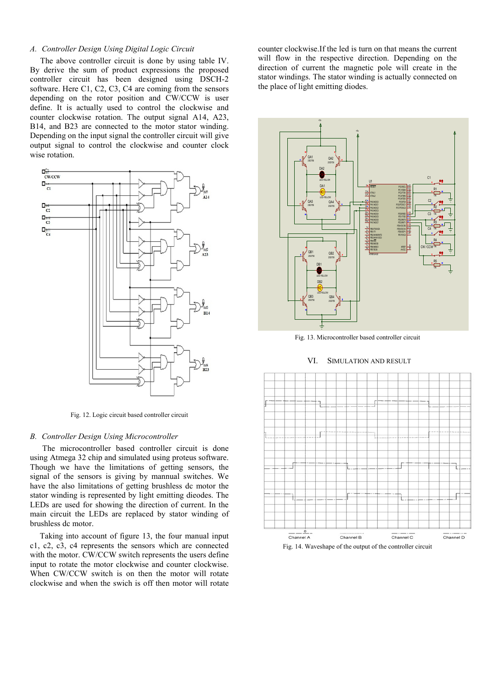# *A. Controller Design Using Digital Logic Circuit*

 The above controller circuit is done by using table IV. By derive the sum of product expressions the proposed controller circuit has been designed using DSCH-2 software. Here C1, C2, C3, C4 are coming from the sensors depending on the rotor position and CW/CCW is user define. It is actually used to control the clockwise and counter clockwise rotation. The output signal A14, A23, B14, and B23 are connected to the motor stator winding. Depending on the input signal the controller circuit will give output signal to control the clockwise and counter clock wise rotation.



Fig. 12. Logic circuit based controller circuit

### *B. Controller Design Using Microcontroller*

 The microcontroller based controller circuit is done using Atmega 32 chip and simulated using proteus software. Though we have the limitations of getting sensors, the signal of the sensors is giving by mannual switches. We have the also limitations of getting brushless dc motor the stator winding is represented by light emitting dieodes. The LEDs are used for showing the direction of current. In the main circuit the LEDs are replaced by stator winding of brushless dc motor.

 Taking into account of figure 13, the four manual input c1, c2, c3, c4 represents the sensors which are connected with the motor. CW/CCW switch represents the users define input to rotate the motor clockwise and counter clockwise. When CW/CCW switch is on then the motor will rotate clockwise and when the swich is off then motor will rotate

counter clockwise.If the led is turn on that means the current will flow in the respective direction. Depending on the direction of current the magnetic pole will create in the stator windings. The stator winding is actually connected on the place of light emitting diodes.



Fig. 13. Microcontroller based controller circuit

# VI. SIMULATION AND RESULT



Fig. 14. Waveshape of the output of the controller circuit